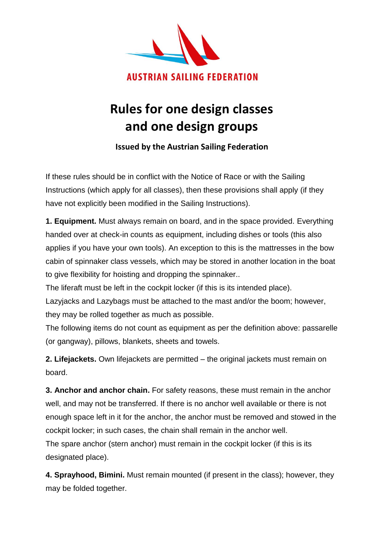

## **Rules for one design classes and one design groups**

**Issued by the Austrian Sailing Federation**

If these rules should be in conflict with the Notice of Race or with the Sailing Instructions (which apply for all classes), then these provisions shall apply (if they have not explicitly been modified in the Sailing Instructions).

**1. Equipment.** Must always remain on board, and in the space provided. Everything handed over at check-in counts as equipment, including dishes or tools (this also applies if you have your own tools). An exception to this is the mattresses in the bow cabin of spinnaker class vessels, which may be stored in another location in the boat to give flexibility for hoisting and dropping the spinnaker..

The liferaft must be left in the cockpit locker (if this is its intended place).

Lazyjacks and Lazybags must be attached to the mast and/or the boom; however, they may be rolled together as much as possible.

The following items do not count as equipment as per the definition above: passarelle (or gangway), pillows, blankets, sheets and towels.

**2. Lifejackets.** Own lifejackets are permitted – the original jackets must remain on board.

**3. Anchor and anchor chain.** For safety reasons, these must remain in the anchor well, and may not be transferred. If there is no anchor well available or there is not enough space left in it for the anchor, the anchor must be removed and stowed in the cockpit locker; in such cases, the chain shall remain in the anchor well.

The spare anchor (stern anchor) must remain in the cockpit locker (if this is its designated place).

**4. Sprayhood, Bimini.** Must remain mounted (if present in the class); however, they may be folded together.